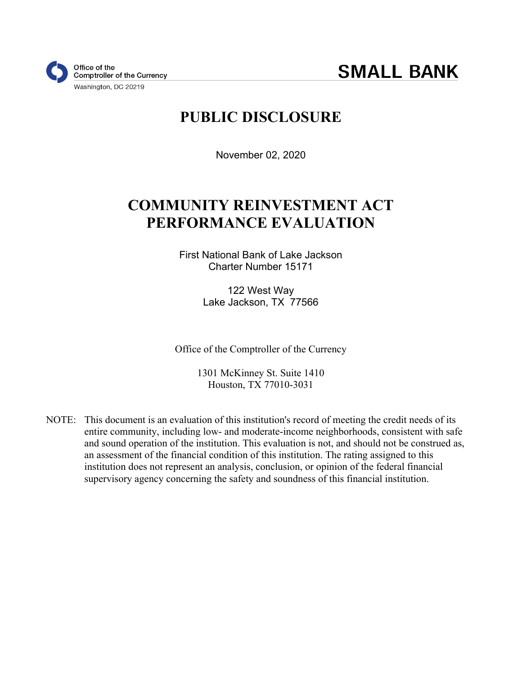# **PUBLIC DISCLOSURE**

November 02, 2020

# **COMMUNITY REINVESTMENT ACT PERFORMANCE EVALUATION**

First National Bank of Lake Jackson Charter Number 15171

> 122 West Way Lake Jackson, TX 77566

Office of the Comptroller of the Currency

1301 McKinney St. Suite 1410 Houston, TX 77010-3031

NOTE: This document is an evaluation of this institution's record of meeting the credit needs of its entire community, including low- and moderate-income neighborhoods, consistent with safe and sound operation of the institution. This evaluation is not, and should not be construed as, an assessment of the financial condition of this institution. The rating assigned to this institution does not represent an analysis, conclusion, or opinion of the federal financial supervisory agency concerning the safety and soundness of this financial institution.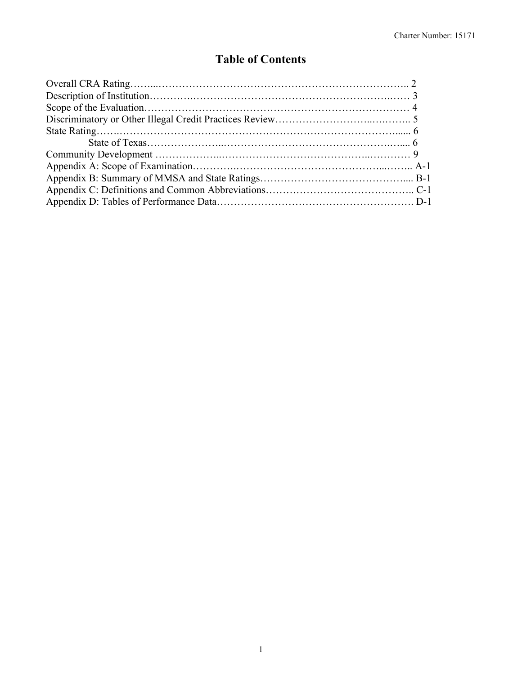## **Table of Contents**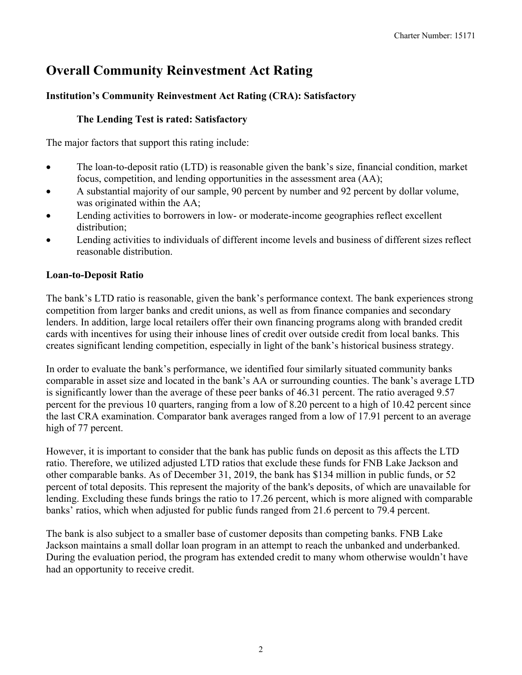## <span id="page-2-0"></span>**Overall Community Reinvestment Act Rating**

### **Institution's Community Reinvestment Act Rating (CRA): Satisfactory**

#### **The Lending Test is rated: Satisfactory**

The major factors that support this rating include:

- The loan-to-deposit ratio (LTD) is reasonable given the bank's size, financial condition, market focus, competition, and lending opportunities in the assessment area (AA);
- A substantial majority of our sample, 90 percent by number and 92 percent by dollar volume, was originated within the AA;
- Lending activities to borrowers in low- or moderate-income geographies reflect excellent distribution;
- Lending activities to individuals of different income levels and business of different sizes reflect reasonable distribution.

### **Loan-to-Deposit Ratio**

The bank's LTD ratio is reasonable, given the bank's performance context. The bank experiences strong competition from larger banks and credit unions, as well as from finance companies and secondary lenders. In addition, large local retailers offer their own financing programs along with branded credit cards with incentives for using their inhouse lines of credit over outside credit from local banks. This creates significant lending competition, especially in light of the bank's historical business strategy.

In order to evaluate the bank's performance, we identified four similarly situated community banks comparable in asset size and located in the bank's AA or surrounding counties. The bank's average LTD is significantly lower than the average of these peer banks of 46.31 percent. The ratio averaged 9.57 percent for the previous 10 quarters, ranging from a low of 8.20 percent to a high of 10.42 percent since the last CRA examination. Comparator bank averages ranged from a low of 17.91 percent to an average high of 77 percent.

However, it is important to consider that the bank has public funds on deposit as this affects the LTD ratio. Therefore, we utilized adjusted LTD ratios that exclude these funds for FNB Lake Jackson and other comparable banks. As of December 31, 2019, the bank has \$134 million in public funds, or 52 percent of total deposits. This represent the majority of the bank's deposits, of which are unavailable for lending. Excluding these funds brings the ratio to 17.26 percent, which is more aligned with comparable banks' ratios, which when adjusted for public funds ranged from 21.6 percent to 79.4 percent.

The bank is also subject to a smaller base of customer deposits than competing banks. FNB Lake Jackson maintains a small dollar loan program in an attempt to reach the unbanked and underbanked. During the evaluation period, the program has extended credit to many whom otherwise wouldn't have had an opportunity to receive credit.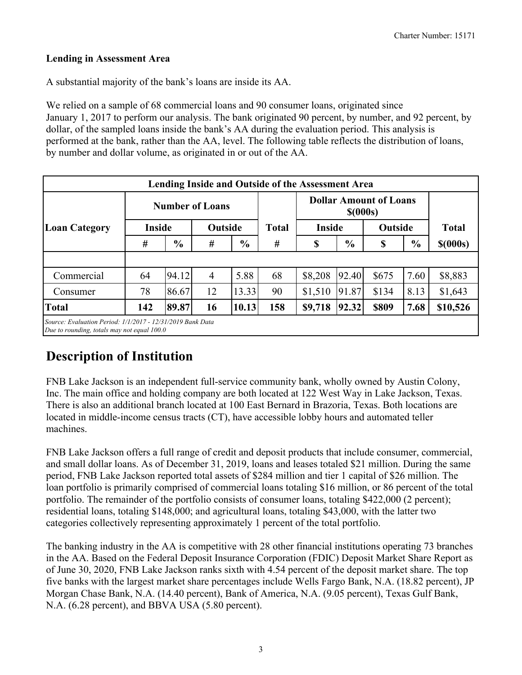### **Lending in Assessment Area**

A substantial majority of the bank's loans are inside its AA.

We relied on a sample of 68 commercial loans and 90 consumer loans, originated since January 1, 2017 to perform our analysis. The bank originated 90 percent, by number, and 92 percent, by dollar, of the sampled loans inside the bank's AA during the evaluation period. This analysis is performed at the bank, rather than the AA, level. The following table reflects the distribution of loans, by number and dollar volume, as originated in or out of the AA.

|                      |               | <b>Number of Loans</b> |                |               |              |               | <b>Dollar Amount of Loans</b><br>$$$ (000s) |         |               |              |  |  |
|----------------------|---------------|------------------------|----------------|---------------|--------------|---------------|---------------------------------------------|---------|---------------|--------------|--|--|
| <b>Loan Category</b> | <b>Inside</b> |                        | Outside        |               | <b>Total</b> | <b>Inside</b> |                                             | Outside |               | <b>Total</b> |  |  |
|                      | #             | $\frac{6}{6}$          | #              | $\frac{0}{0}$ | #            | \$            | $\frac{0}{0}$                               | \$      | $\frac{6}{6}$ | $$$ (000s)   |  |  |
|                      |               |                        |                |               |              |               |                                             |         |               |              |  |  |
| Commercial           | 64            | 94.12                  | $\overline{4}$ | 5.88          | 68           | \$8,208       | 92.40                                       | \$675   | 7.60          | \$8,883      |  |  |
| Consumer             | 78            | 86.67                  | 12             | 13.33         | 90           | \$1,510       | 91.87                                       | \$134   | 8.13          | \$1,643      |  |  |
| <b>Total</b>         | 142           | 89.87                  | 16             | 10.13         | 158          | \$9,718       | 92.32                                       | \$809   | 7.68          | \$10,526     |  |  |

## **Description of Institution**

FNB Lake Jackson is an independent full-service community bank, wholly owned by Austin Colony, Inc. The main office and holding company are both located at 122 West Way in Lake Jackson, Texas. There is also an additional branch located at 100 East Bernard in Brazoria, Texas. Both locations are located in middle-income census tracts (CT), have accessible lobby hours and automated teller machines.

FNB Lake Jackson offers a full range of credit and deposit products that include consumer, commercial, and small dollar loans. As of December 31, 2019, loans and leases totaled \$21 million. During the same period, FNB Lake Jackson reported total assets of \$284 million and tier 1 capital of \$26 million. The loan portfolio is primarily comprised of commercial loans totaling \$16 million, or 86 percent of the total portfolio. The remainder of the portfolio consists of consumer loans, totaling \$422,000 (2 percent); residential loans, totaling \$148,000; and agricultural loans, totaling \$43,000, with the latter two categories collectively representing approximately 1 percent of the total portfolio.

The banking industry in the AA is competitive with 28 other financial institutions operating 73 branches in the AA. Based on the Federal Deposit Insurance Corporation (FDIC) Deposit Market Share Report as of June 30, 2020, FNB Lake Jackson ranks sixth with 4.54 percent of the deposit market share. The top five banks with the largest market share percentages include Wells Fargo Bank, N.A. (18.82 percent), JP Morgan Chase Bank, N.A. (14.40 percent), Bank of America, N.A. (9.05 percent), Texas Gulf Bank, N.A. (6.28 percent), and BBVA USA (5.80 percent).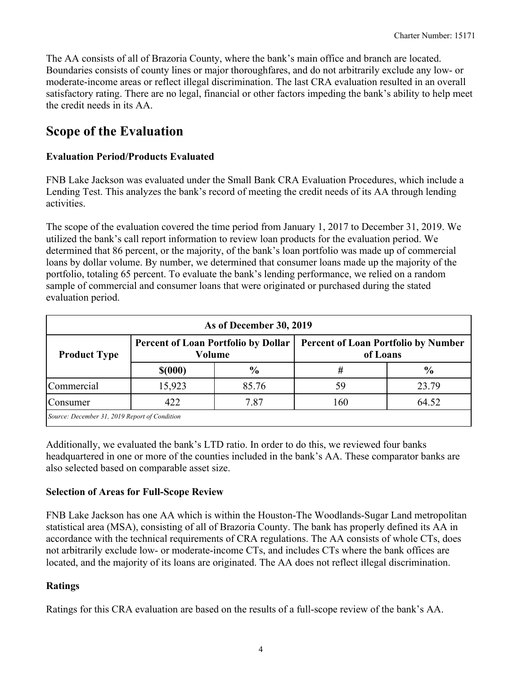The AA consists of all of Brazoria County, where the bank's main office and branch are located. Boundaries consists of county lines or major thoroughfares, and do not arbitrarily exclude any low- or moderate-income areas or reflect illegal discrimination. The last CRA evaluation resulted in an overall satisfactory rating. There are no legal, financial or other factors impeding the bank's ability to help meet the credit needs in its AA.

## **Scope of the Evaluation**

### **Evaluation Period/Products Evaluated**

FNB Lake Jackson was evaluated under the Small Bank CRA Evaluation Procedures, which include a Lending Test. This analyzes the bank's record of meeting the credit needs of its AA through lending activities.

The scope of the evaluation covered the time period from January 1, 2017 to December 31, 2019. We utilized the bank's call report information to review loan products for the evaluation period. We determined that 86 percent, or the majority, of the bank's loan portfolio was made up of commercial loans by dollar volume. By number, we determined that consumer loans made up the majority of the portfolio, totaling 65 percent. To evaluate the bank's lending performance, we relied on a random sample of commercial and consumer loans that were originated or purchased during the stated evaluation period.

|                                               | As of December 30, 2019 |                                                             |                                                        |               |  |  |  |  |  |  |  |  |
|-----------------------------------------------|-------------------------|-------------------------------------------------------------|--------------------------------------------------------|---------------|--|--|--|--|--|--|--|--|
| <b>Product Type</b>                           |                         | <b>Percent of Loan Portfolio by Dollar</b><br><b>Volume</b> | <b>Percent of Loan Portfolio by Number</b><br>of Loans |               |  |  |  |  |  |  |  |  |
|                                               | \$(000)                 | $\frac{6}{6}$                                               | #                                                      | $\frac{6}{9}$ |  |  |  |  |  |  |  |  |
| Commercial                                    | 15,923                  | 85.76                                                       | 59                                                     | 23.79         |  |  |  |  |  |  |  |  |
| Consumer                                      | 422                     | 7.87                                                        | 160                                                    | 64.52         |  |  |  |  |  |  |  |  |
| Source: December 31, 2019 Report of Condition |                         |                                                             |                                                        |               |  |  |  |  |  |  |  |  |

Additionally, we evaluated the bank's LTD ratio. In order to do this, we reviewed four banks headquartered in one or more of the counties included in the bank's AA. These comparator banks are also selected based on comparable asset size.

#### **Selection of Areas for Full-Scope Review**

FNB Lake Jackson has one AA which is within the Houston-The Woodlands-Sugar Land metropolitan statistical area (MSA), consisting of all of Brazoria County. The bank has properly defined its AA in accordance with the technical requirements of CRA regulations. The AA consists of whole CTs, does not arbitrarily exclude low- or moderate-income CTs, and includes CTs where the bank offices are located, and the majority of its loans are originated. The AA does not reflect illegal discrimination.

### **Ratings**

Ratings for this CRA evaluation are based on the results of a full-scope review of the bank's AA.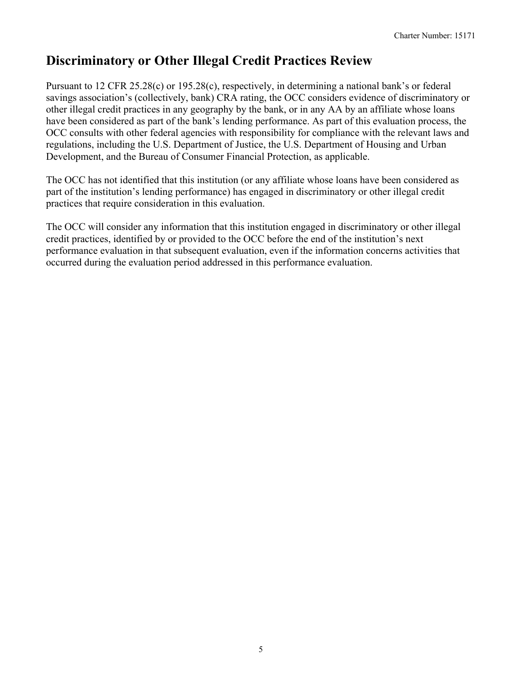## <span id="page-5-0"></span>**Discriminatory or Other Illegal Credit Practices Review**

Pursuant to 12 CFR 25.28(c) or 195.28(c), respectively, in determining a national bank's or federal savings association's (collectively, bank) CRA rating, the OCC considers evidence of discriminatory or other illegal credit practices in any geography by the bank, or in any AA by an affiliate whose loans have been considered as part of the bank's lending performance. As part of this evaluation process, the OCC consults with other federal agencies with responsibility for compliance with the relevant laws and regulations, including the U.S. Department of Justice, the U.S. Department of Housing and Urban Development, and the Bureau of Consumer Financial Protection, as applicable.

The OCC has not identified that this institution (or any affiliate whose loans have been considered as part of the institution's lending performance) has engaged in discriminatory or other illegal credit practices that require consideration in this evaluation.

The OCC will consider any information that this institution engaged in discriminatory or other illegal credit practices, identified by or provided to the OCC before the end of the institution's next performance evaluation in that subsequent evaluation, even if the information concerns activities that occurred during the evaluation period addressed in this performance evaluation.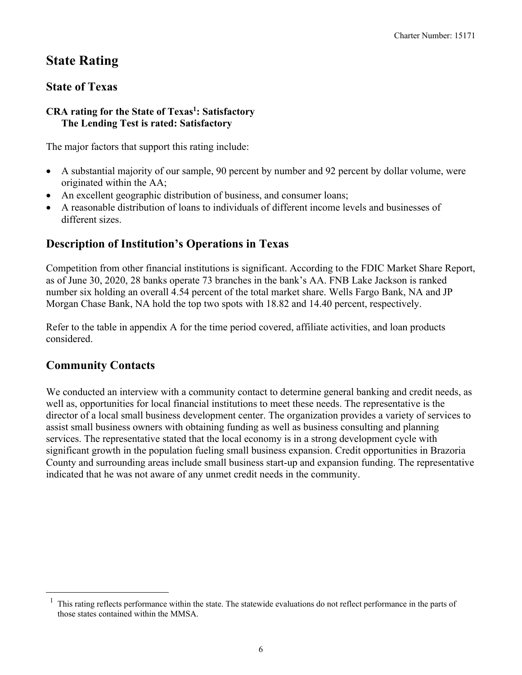## <span id="page-6-0"></span>**State Rating**

## **State of Texas**

#### **CRA rating for the State of Texas1: Satisfactory The Lending Test is rated: Satisfactory**

The major factors that support this rating include:

- A substantial majority of our sample, 90 percent by number and 92 percent by dollar volume, were originated within the AA;
- An excellent geographic distribution of business, and consumer loans;
- A reasonable distribution of loans to individuals of different income levels and businesses of different sizes.

## **Description of Institution's Operations in Texas**

Competition from other financial institutions is significant. According to the FDIC Market Share Report, as of June 30, 2020, 28 banks operate 73 branches in the bank's AA. FNB Lake Jackson is ranked number six holding an overall 4.54 percent of the total market share. Wells Fargo Bank, NA and JP Morgan Chase Bank, NA hold the top two spots with 18.82 and 14.40 percent, respectively.

Refer to the table in appendix A for the time period covered, affiliate activities, and loan products considered.

## **Community Contacts**

We conducted an interview with a community contact to determine general banking and credit needs, as well as, opportunities for local financial institutions to meet these needs. The representative is the director of a local small business development center. The organization provides a variety of services to assist small business owners with obtaining funding as well as business consulting and planning services. The representative stated that the local economy is in a strong development cycle with significant growth in the population fueling small business expansion. Credit opportunities in Brazoria County and surrounding areas include small business start-up and expansion funding. The representative indicated that he was not aware of any unmet credit needs in the community.

 $1$  This rating reflects performance within the state. The statewide evaluations do not reflect performance in the parts of those states contained within the MMSA.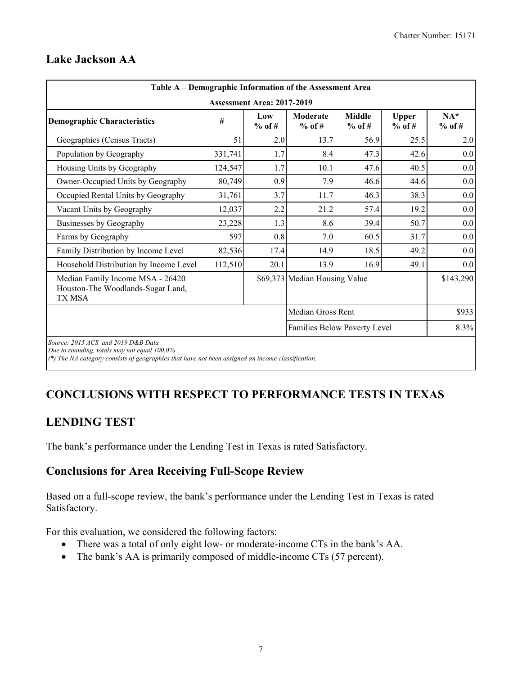| <b>Assessment Area: 2017-2019</b><br>Low<br>$%$ of #<br>2.0<br>1.7<br>1.7<br>0.9<br>3.7<br>2.2<br>1.3 | <b>Moderate</b><br>$%$ of #<br>13.7<br>8.4<br>10.1<br>7.9<br>11.7<br>21.2<br>8.6 | <b>Middle</b><br>$%$ of #<br>56.9<br>47.3<br>47.6<br>46.6<br>46.3<br>57.4 | <b>Upper</b><br>$%$ of #<br>25.5<br>42.6<br>40.5<br>44.6<br>38.3<br>19.2 | $NA*$<br>$%$ of #<br>2.0<br>0.0<br>0.0<br>0.0<br>0.0<br>0.0 |
|-------------------------------------------------------------------------------------------------------|----------------------------------------------------------------------------------|---------------------------------------------------------------------------|--------------------------------------------------------------------------|-------------------------------------------------------------|
|                                                                                                       |                                                                                  |                                                                           |                                                                          |                                                             |
|                                                                                                       |                                                                                  |                                                                           |                                                                          |                                                             |
|                                                                                                       |                                                                                  |                                                                           |                                                                          |                                                             |
|                                                                                                       |                                                                                  |                                                                           |                                                                          |                                                             |
|                                                                                                       |                                                                                  |                                                                           |                                                                          |                                                             |
|                                                                                                       |                                                                                  |                                                                           |                                                                          |                                                             |
|                                                                                                       |                                                                                  |                                                                           |                                                                          |                                                             |
|                                                                                                       |                                                                                  |                                                                           |                                                                          |                                                             |
|                                                                                                       |                                                                                  | 39.4                                                                      | 50.7                                                                     | 0.0                                                         |
| 0.8                                                                                                   | 7.0                                                                              | 60.5                                                                      | 31.7                                                                     | 0.0                                                         |
| 17.4                                                                                                  | 14.9                                                                             | 18.5                                                                      | 49.2                                                                     | 0.0                                                         |
| 20.1                                                                                                  | 13.9                                                                             | 16.9                                                                      | 49.1                                                                     | 0.0                                                         |
|                                                                                                       |                                                                                  |                                                                           | \$143,290                                                                |                                                             |
|                                                                                                       |                                                                                  |                                                                           |                                                                          | \$933                                                       |
|                                                                                                       |                                                                                  |                                                                           |                                                                          | 8.3%                                                        |
|                                                                                                       |                                                                                  |                                                                           | \$69,373 Median Housing Value<br>Median Gross Rent                       | Families Below Poverty Level                                |

### **Lake Jackson AA**

*(\*) The NA category consists of geographies that have not been assigned an income classification.* 

## **CONCLUSIONS WITH RESPECT TO PERFORMANCE TESTS IN TEXAS**

## **LENDING TEST**

The bank's performance under the Lending Test in Texas is rated Satisfactory.

## **Conclusions for Area Receiving Full-Scope Review**

Based on a full-scope review, the bank's performance under the Lending Test in Texas is rated Satisfactory.

For this evaluation, we considered the following factors:

- There was a total of only eight low- or moderate-income CTs in the bank's AA.
- The bank's AA is primarily composed of middle-income CTs (57 percent).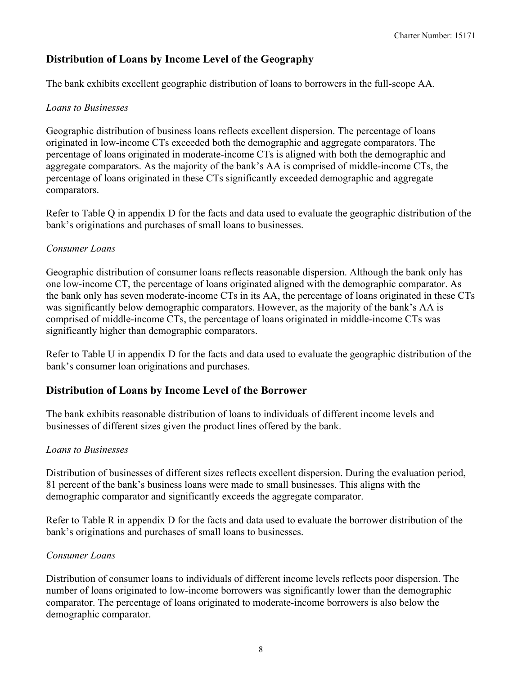## **Distribution of Loans by Income Level of the Geography**

The bank exhibits excellent geographic distribution of loans to borrowers in the full-scope AA.

#### *Loans to Businesses*

comparators. Geographic distribution of business loans reflects excellent dispersion. The percentage of loans originated in low-income CTs exceeded both the demographic and aggregate comparators. The percentage of loans originated in moderate-income CTs is aligned with both the demographic and aggregate comparators. As the majority of the bank's AA is comprised of middle-income CTs, the percentage of loans originated in these CTs significantly exceeded demographic and aggregate

Refer to Table Q in appendix D for the facts and data used to evaluate the geographic distribution of the bank's originations and purchases of small loans to businesses.

#### *Consumer Loans*

Geographic distribution of consumer loans reflects reasonable dispersion. Although the bank only has one low-income CT, the percentage of loans originated aligned with the demographic comparator. As the bank only has seven moderate-income CTs in its AA, the percentage of loans originated in these CTs was significantly below demographic comparators. However, as the majority of the bank's AA is comprised of middle-income CTs, the percentage of loans originated in middle-income CTs was significantly higher than demographic comparators.

Refer to Table U in appendix D for the facts and data used to evaluate the geographic distribution of the bank's consumer loan originations and purchases.

### **Distribution of Loans by Income Level of the Borrower**

The bank exhibits reasonable distribution of loans to individuals of different income levels and businesses of different sizes given the product lines offered by the bank.

#### *Loans to Businesses*

Distribution of businesses of different sizes reflects excellent dispersion. During the evaluation period, 81 percent of the bank's business loans were made to small businesses. This aligns with the demographic comparator and significantly exceeds the aggregate comparator.

Refer to Table R in appendix D for the facts and data used to evaluate the borrower distribution of the bank's originations and purchases of small loans to businesses.

#### *Consumer Loans*

Distribution of consumer loans to individuals of different income levels reflects poor dispersion. The number of loans originated to low-income borrowers was significantly lower than the demographic comparator. The percentage of loans originated to moderate-income borrowers is also below the demographic comparator.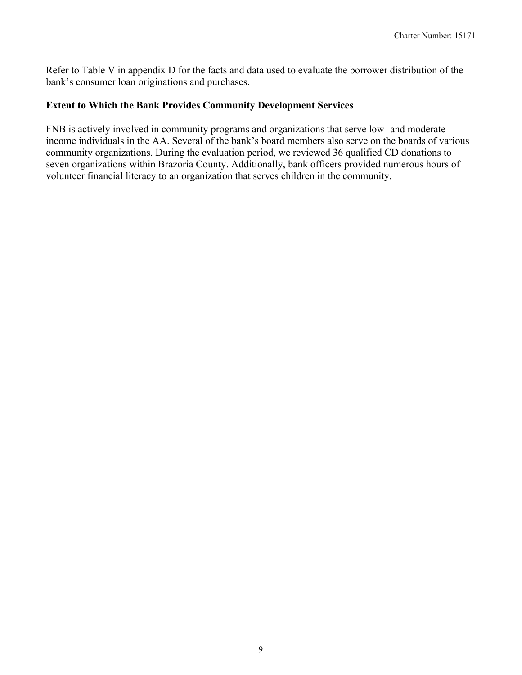<span id="page-9-0"></span>Refer to Table V in appendix D for the facts and data used to evaluate the borrower distribution of the bank's consumer loan originations and purchases.

#### **Extent to Which the Bank Provides Community Development Services**

FNB is actively involved in community programs and organizations that serve low- and moderateincome individuals in the AA. Several of the bank's board members also serve on the boards of various community organizations. During the evaluation period, we reviewed 36 qualified CD donations to seven organizations within Brazoria County. Additionally, bank officers provided numerous hours of volunteer financial literacy to an organization that serves children in the community.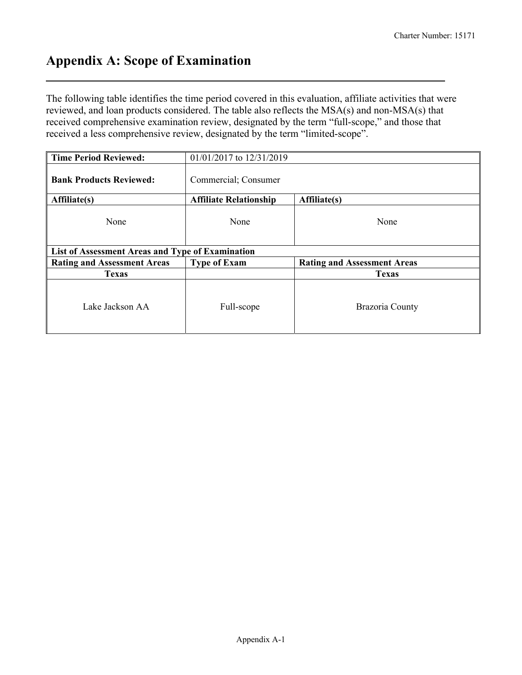## **Appendix A: Scope of Examination**

The following table identifies the time period covered in this evaluation, affiliate activities that were reviewed, and loan products considered. The table also reflects the MSA(s) and non-MSA(s) that received comprehensive examination review, designated by the term "full-scope," and those that received a less comprehensive review, designated by the term "limited-scope".

| <b>Time Period Reviewed:</b>                     | 01/01/2017 to 12/31/2019      |                                    |  |  |  |  |  |  |  |  |  |
|--------------------------------------------------|-------------------------------|------------------------------------|--|--|--|--|--|--|--|--|--|
| <b>Bank Products Reviewed:</b>                   | Commercial; Consumer          |                                    |  |  |  |  |  |  |  |  |  |
| Affiliate(s)                                     | <b>Affiliate Relationship</b> | Affiliate(s)                       |  |  |  |  |  |  |  |  |  |
| None                                             | None                          | None                               |  |  |  |  |  |  |  |  |  |
| List of Assessment Areas and Type of Examination |                               |                                    |  |  |  |  |  |  |  |  |  |
|                                                  |                               | <b>Rating and Assessment Areas</b> |  |  |  |  |  |  |  |  |  |
| <b>Rating and Assessment Areas</b>               | <b>Type of Exam</b>           |                                    |  |  |  |  |  |  |  |  |  |
| <b>Texas</b>                                     |                               | <b>Texas</b>                       |  |  |  |  |  |  |  |  |  |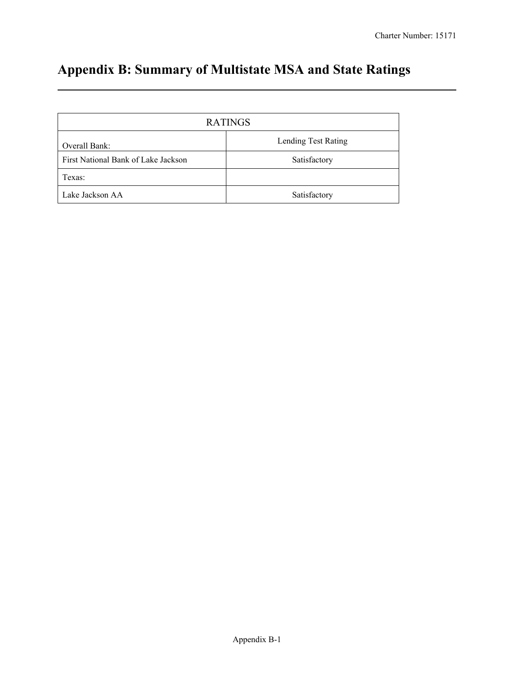# **Appendix B: Summary of Multistate MSA and State Ratings**

|                                     | <b>RATINGS</b>      |
|-------------------------------------|---------------------|
| Overall Bank:                       | Lending Test Rating |
| First National Bank of Lake Jackson | Satisfactory        |
| Texas:                              |                     |
| Lake Jackson AA                     | Satisfactory        |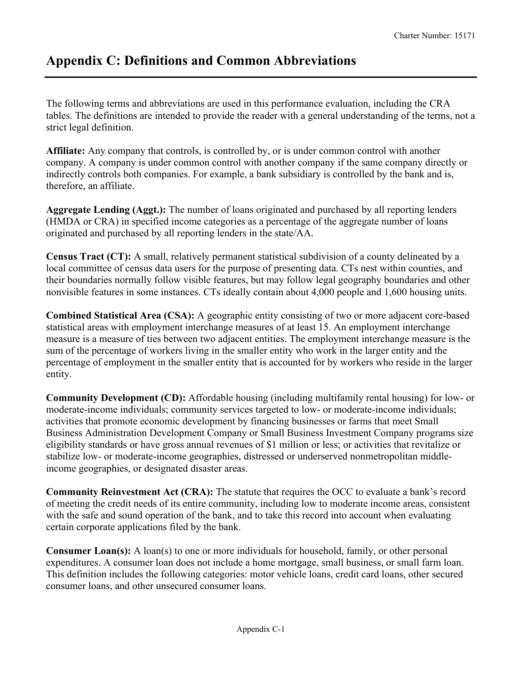## **Appendix C: Definitions and Common Abbreviations**

The following terms and abbreviations are used in this performance evaluation, including the CRA tables. The definitions are intended to provide the reader with a general understanding of the terms, not a strict legal definition.

**Affiliate:** Any company that controls, is controlled by, or is under common control with another company. A company is under common control with another company if the same company directly or indirectly controls both companies. For example, a bank subsidiary is controlled by the bank and is, therefore, an affiliate.

**Aggregate Lending (Aggt.):** The number of loans originated and purchased by all reporting lenders (HMDA or CRA) in specified income categories as a percentage of the aggregate number of loans originated and purchased by all reporting lenders in the state/AA.

**Census Tract (CT):** A small, relatively permanent statistical subdivision of a county delineated by a local committee of census data users for the purpose of presenting data. CTs nest within counties, and their boundaries normally follow visible features, but may follow legal geography boundaries and other nonvisible features in some instances. CTs ideally contain about 4,000 people and 1,600 housing units.

**Combined Statistical Area (CSA):** A geographic entity consisting of two or more adjacent core-based statistical areas with employment interchange measures of at least 15. An employment interchange measure is a measure of ties between two adjacent entities. The employment interchange measure is the sum of the percentage of workers living in the smaller entity who work in the larger entity and the percentage of employment in the smaller entity that is accounted for by workers who reside in the larger entity.

**Community Development (CD):** Affordable housing (including multifamily rental housing) for low- or moderate-income individuals; community services targeted to low- or moderate-income individuals; activities that promote economic development by financing businesses or farms that meet Small Business Administration Development Company or Small Business Investment Company programs size eligibility standards or have gross annual revenues of \$1 million or less; or activities that revitalize or stabilize low- or moderate-income geographies, distressed or underserved nonmetropolitan middleincome geographies, or designated disaster areas.

**Community Reinvestment Act (CRA):** The statute that requires the OCC to evaluate a bank's record of meeting the credit needs of its entire community, including low to moderate income areas, consistent with the safe and sound operation of the bank, and to take this record into account when evaluating certain corporate applications filed by the bank.

**Consumer Loan(s):** A loan(s) to one or more individuals for household, family, or other personal expenditures. A consumer loan does not include a home mortgage, small business, or small farm loan. This definition includes the following categories: motor vehicle loans, credit card loans, other secured consumer loans, and other unsecured consumer loans.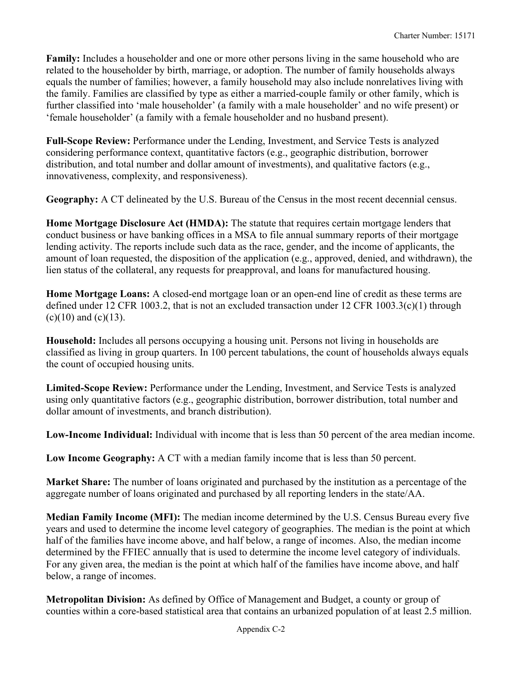**Family:** Includes a householder and one or more other persons living in the same household who are related to the householder by birth, marriage, or adoption. The number of family households always equals the number of families; however, a family household may also include nonrelatives living with the family. Families are classified by type as either a married-couple family or other family, which is further classified into 'male householder' (a family with a male householder' and no wife present) or 'female householder' (a family with a female householder and no husband present).

**Full-Scope Review:** Performance under the Lending, Investment, and Service Tests is analyzed considering performance context, quantitative factors (e.g., geographic distribution, borrower distribution, and total number and dollar amount of investments), and qualitative factors (e.g., innovativeness, complexity, and responsiveness).

**Geography:** A CT delineated by the U.S. Bureau of the Census in the most recent decennial census.

**Home Mortgage Disclosure Act (HMDA):** The statute that requires certain mortgage lenders that conduct business or have banking offices in a MSA to file annual summary reports of their mortgage lending activity. The reports include such data as the race, gender, and the income of applicants, the amount of loan requested, the disposition of the application (e.g., approved, denied, and withdrawn), the lien status of the collateral, any requests for preapproval, and loans for manufactured housing.

**Home Mortgage Loans:** A closed-end mortgage loan or an open-end line of credit as these terms are defined under 12 CFR 1003.2, that is not an excluded transaction under 12 CFR 1003.3(c)(1) through  $(c)(10)$  and  $(c)(13)$ .

**Household:** Includes all persons occupying a housing unit. Persons not living in households are classified as living in group quarters. In 100 percent tabulations, the count of households always equals the count of occupied housing units.

**Limited-Scope Review:** Performance under the Lending, Investment, and Service Tests is analyzed using only quantitative factors (e.g., geographic distribution, borrower distribution, total number and dollar amount of investments, and branch distribution).

**Low-Income Individual:** Individual with income that is less than 50 percent of the area median income.

**Low Income Geography:** A CT with a median family income that is less than 50 percent.

**Market Share:** The number of loans originated and purchased by the institution as a percentage of the aggregate number of loans originated and purchased by all reporting lenders in the state/AA.

**Median Family Income (MFI):** The median income determined by the U.S. Census Bureau every five years and used to determine the income level category of geographies. The median is the point at which half of the families have income above, and half below, a range of incomes. Also, the median income determined by the FFIEC annually that is used to determine the income level category of individuals. For any given area, the median is the point at which half of the families have income above, and half below, a range of incomes.

**Metropolitan Division:** As defined by Office of Management and Budget, a county or group of counties within a core-based statistical area that contains an urbanized population of at least 2.5 million.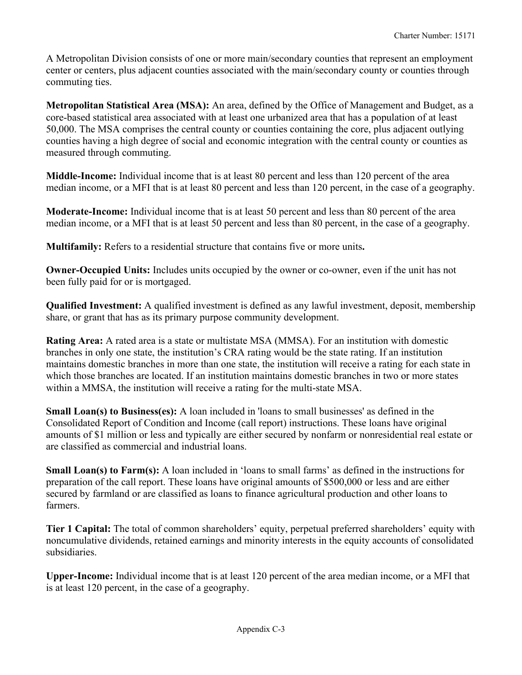A Metropolitan Division consists of one or more main/secondary counties that represent an employment center or centers, plus adjacent counties associated with the main/secondary county or counties through commuting ties.

**Metropolitan Statistical Area (MSA):** An area, defined by the Office of Management and Budget, as a core-based statistical area associated with at least one urbanized area that has a population of at least 50,000. The MSA comprises the central county or counties containing the core, plus adjacent outlying counties having a high degree of social and economic integration with the central county or counties as measured through commuting.

**Middle-Income:** Individual income that is at least 80 percent and less than 120 percent of the area median income, or a MFI that is at least 80 percent and less than 120 percent, in the case of a geography.

**Moderate-Income:** Individual income that is at least 50 percent and less than 80 percent of the area median income, or a MFI that is at least 50 percent and less than 80 percent, in the case of a geography.

**Multifamily:** Refers to a residential structure that contains five or more units**.** 

**Owner-Occupied Units:** Includes units occupied by the owner or co-owner, even if the unit has not been fully paid for or is mortgaged.

**Qualified Investment:** A qualified investment is defined as any lawful investment, deposit, membership share, or grant that has as its primary purpose community development.

**Rating Area:** A rated area is a state or multistate MSA (MMSA). For an institution with domestic branches in only one state, the institution's CRA rating would be the state rating. If an institution maintains domestic branches in more than one state, the institution will receive a rating for each state in which those branches are located. If an institution maintains domestic branches in two or more states within a MMSA, the institution will receive a rating for the multi-state MSA.

 are classified as commercial and industrial loans. **Small Loan(s) to Business(es):** A loan included in 'loans to small businesses' as defined in the Consolidated Report of Condition and Income (call report) instructions. These loans have original amounts of \$1 million or less and typically are either secured by nonfarm or nonresidential real estate or

**Small Loan(s) to Farm(s):** A loan included in 'loans to small farms' as defined in the instructions for preparation of the call report. These loans have original amounts of \$500,000 or less and are either secured by farmland or are classified as loans to finance agricultural production and other loans to farmers.

**Tier 1 Capital:** The total of common shareholders' equity, perpetual preferred shareholders' equity with noncumulative dividends, retained earnings and minority interests in the equity accounts of consolidated subsidiaries.

**Upper-Income:** Individual income that is at least 120 percent of the area median income, or a MFI that is at least 120 percent, in the case of a geography.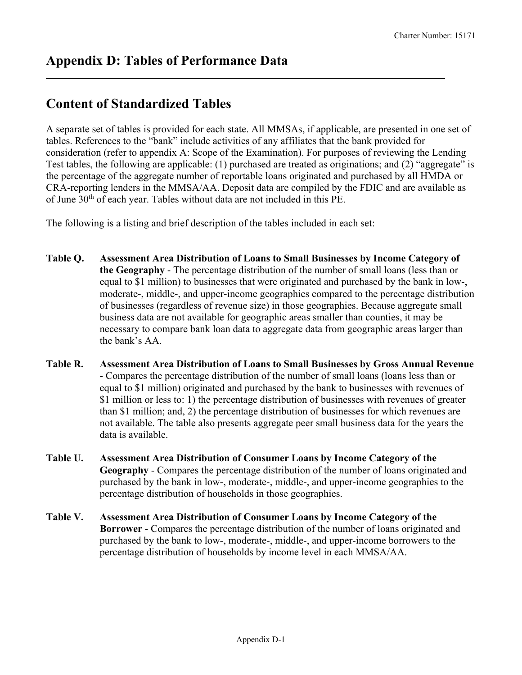## **Content of Standardized Tables**

A separate set of tables is provided for each state. All MMSAs, if applicable, are presented in one set of tables. References to the "bank" include activities of any affiliates that the bank provided for consideration (refer to appendix A: Scope of the Examination). For purposes of reviewing the Lending Test tables, the following are applicable: (1) purchased are treated as originations; and (2) "aggregate" is the percentage of the aggregate number of reportable loans originated and purchased by all HMDA or CRA-reporting lenders in the MMSA/AA. Deposit data are compiled by the FDIC and are available as of June 30<sup>th</sup> of each year. Tables without data are not included in this PE.

The following is a listing and brief description of the tables included in each set:

- **Table Q. Assessment Area Distribution of Loans to Small Businesses by Income Category of the Geography** - The percentage distribution of the number of small loans (less than or equal to \$1 million) to businesses that were originated and purchased by the bank in low-, moderate-, middle-, and upper-income geographies compared to the percentage distribution of businesses (regardless of revenue size) in those geographies. Because aggregate small business data are not available for geographic areas smaller than counties, it may be necessary to compare bank loan data to aggregate data from geographic areas larger than the bank's AA.
- **Table R. Assessment Area Distribution of Loans to Small Businesses by Gross Annual Revenue**  - Compares the percentage distribution of the number of small loans (loans less than or equal to \$1 million) originated and purchased by the bank to businesses with revenues of \$1 million or less to: 1) the percentage distribution of businesses with revenues of greater than \$1 million; and, 2) the percentage distribution of businesses for which revenues are not available. The table also presents aggregate peer small business data for the years the data is available.
- **Table U. Assessment Area Distribution of Consumer Loans by Income Category of the Geography** - Compares the percentage distribution of the number of loans originated and purchased by the bank in low-, moderate-, middle-, and upper-income geographies to the percentage distribution of households in those geographies.
- **Table V. Assessment Area Distribution of Consumer Loans by Income Category of the Borrower** - Compares the percentage distribution of the number of loans originated and purchased by the bank to low-, moderate-, middle-, and upper-income borrowers to the percentage distribution of households by income level in each MMSA/AA.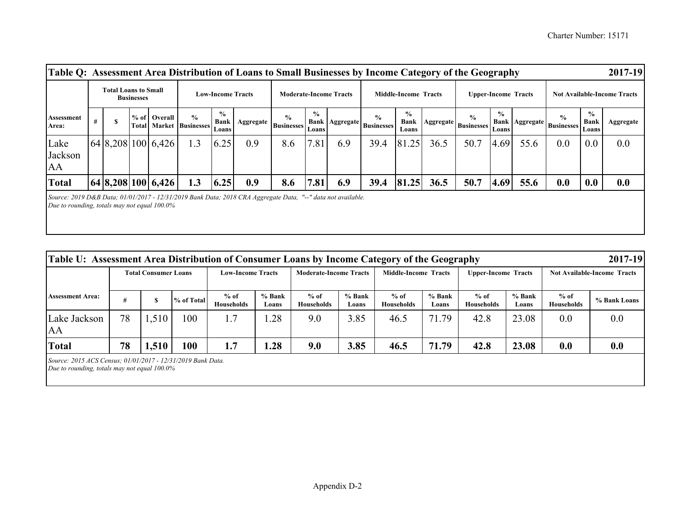| Table Q: Assessment Area Distribution of Loans to Small Businesses by Income Category of the Geography                                                         |                                                                              |  |  |                    |                                                 |                                       |                               |                           |                        |                             |                           |                                       |                            |                                      |                        |                                    |                                                  |                                       | 2017-19   |
|----------------------------------------------------------------------------------------------------------------------------------------------------------------|------------------------------------------------------------------------------|--|--|--------------------|-------------------------------------------------|---------------------------------------|-------------------------------|---------------------------|------------------------|-----------------------------|---------------------------|---------------------------------------|----------------------------|--------------------------------------|------------------------|------------------------------------|--------------------------------------------------|---------------------------------------|-----------|
|                                                                                                                                                                | <b>Total Loans to Small</b><br><b>Low-Income Tracts</b><br><b>Businesses</b> |  |  |                    |                                                 |                                       | <b>Moderate-Income Tracts</b> |                           |                        | <b>Middle-Income Tracts</b> |                           |                                       | <b>Upper-Income Tracts</b> |                                      |                        | <b>Not Available-Income Tracts</b> |                                                  |                                       |           |
| Assessment<br>Area:                                                                                                                                            | #                                                                            |  |  | % of Overall       | $\frac{0}{0}$<br><b>Total Market Businesses</b> | $\frac{0}{0}$<br><b>Bank</b><br>Loans | Aggregate                     | $\%$<br><b>Businesses</b> | $\frac{0}{0}$<br>Loans | <b>Bank Aggregate</b>       | $\%$<br><b>Businesses</b> | $\frac{0}{0}$<br><b>Bank</b><br>Loans |                            | $\%$<br>  Aggregate   Businesses   ' | $\frac{0}{0}$<br>Loans |                                    | $\frac{0}{0}$<br>  Bank   Aggregate   Businesses | $\frac{6}{9}$<br><b>Bank</b><br>Loans | Aggregate |
| Lake<br>Jackson<br>AA                                                                                                                                          |                                                                              |  |  | 64 8,208 100 6,426 | 1.3                                             | 6.25                                  | 0.9                           | 8.6                       | 7.81                   | 6.9                         | 39.4                      | 81.25                                 | 36.5                       | 50.7                                 | 4.69                   | 55.6                               | 0.0                                              | 0.0                                   | 0.0       |
| <b>Total</b>                                                                                                                                                   |                                                                              |  |  | 64 8,208 100 6,426 | 1.3                                             | 6.25                                  | 0.9                           | 8.6                       | 7.81                   | 6.9                         | 39.4                      | 81.25                                 | 36.5                       | 50.7                                 | 4.69                   | 55.6                               | 0.0                                              | 0.0                                   | 0.0       |
| Source: 2019 D&B Data; 01/01/2017 - 12/31/2019 Bank Data; 2018 CRA Aggregate Data, "--" data not available.<br>Due to rounding, totals may not equal $100.0\%$ |                                                                              |  |  |                    |                                                 |                                       |                               |                           |                        |                             |                           |                                       |                            |                                      |                        |                                    |                                                  |                                       |           |

|                                                                                                                |    | <b>Total Consumer Loans</b> |            | <b>Low-Income Tracts</b>    |                 | <b>Moderate-Income Tracts</b> |                 | Middle-Income Tracts        |                 | <b>Upper-Income Tracts</b>  |                 | <b>Not Available-Income Tracts</b> |              |
|----------------------------------------------------------------------------------------------------------------|----|-----------------------------|------------|-----------------------------|-----------------|-------------------------------|-----------------|-----------------------------|-----------------|-----------------------------|-----------------|------------------------------------|--------------|
| <b>Assessment Area:</b>                                                                                        | #  |                             | % of Total | $%$ of<br><b>Households</b> | % Bank<br>Loans | $%$ of<br><b>Households</b>   | % Bank<br>Loans | $%$ of<br><b>Households</b> | % Bank<br>Loans | $%$ of<br><b>Households</b> | % Bank<br>Loans | $%$ of<br><b>Households</b>        | % Bank Loans |
| Lake Jackson<br>AA                                                                                             | 78 | 1,510                       | 100        | 1.7                         | .28             | 9.0                           | 3.85            | 46.5                        | 71.79           | 42.8                        | 23.08           | 0.0                                | 0.0          |
| <b>Total</b>                                                                                                   | 78 | 1,510                       | 100        | 1.7                         | .28             | 9.0                           | 3.85            | 46.5                        | 71.79           | 42.8                        | 23.08           | 0.0                                | 0.0          |
| Source: 2015 ACS Census; 01/01/2017 - 12/31/2019 Bank Data.<br>Due to rounding, totals may not equal $100.0\%$ |    |                             |            |                             |                 |                               |                 |                             |                 |                             |                 |                                    |              |